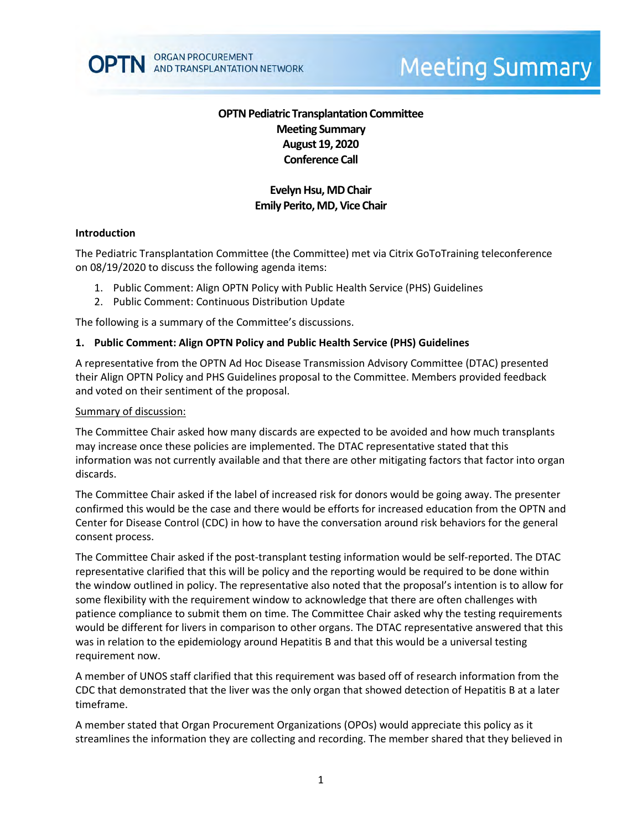

# **Meeting Summary**

# **OPTN Pediatric Transplantation Committee Meeting Summary August 19, 2020 Conference Call**

# **Evelyn Hsu, MDChair Emily Perito, MD, Vice Chair**

#### **Introduction**

The Pediatric Transplantation Committee (the Committee) met via Citrix GoToTraining teleconference on 08/19/2020 to discuss the following agenda items:

- 1. Public Comment: Align OPTN Policy with Public Health Service (PHS) Guidelines
- 2. Public Comment: Continuous Distribution Update

The following is a summary of the Committee's discussions.

#### **1. Public Comment: Align OPTN Policy and Public Health Service (PHS) Guidelines**

A representative from the OPTN Ad Hoc Disease Transmission Advisory Committee (DTAC) presented their Align OPTN Policy and PHS Guidelines proposal to the Committee. Members provided feedback and voted on their sentiment of the proposal.

#### Summary of discussion:

The Committee Chair asked how many discards are expected to be avoided and how much transplants may increase once these policies are implemented. The DTAC representative stated that this information was not currently available and that there are other mitigating factors that factor into organ discards.

The Committee Chair asked if the label of increased risk for donors would be going away. The presenter confirmed this would be the case and there would be efforts for increased education from the OPTN and Center for Disease Control (CDC) in how to have the conversation around risk behaviors for the general consent process.

The Committee Chair asked if the post-transplant testing information would be self-reported. The DTAC representative clarified that this will be policy and the reporting would be required to be done within the window outlined in policy. The representative also noted that the proposal's intention is to allow for some flexibility with the requirement window to acknowledge that there are often challenges with patience compliance to submit them on time. The Committee Chair asked why the testing requirements would be different for livers in comparison to other organs. The DTAC representative answered that this was in relation to the epidemiology around Hepatitis B and that this would be a universal testing requirement now.

A member of UNOS staff clarified that this requirement was based off of research information from the CDC that demonstrated that the liver was the only organ that showed detection of Hepatitis B at a later timeframe.

A member stated that Organ Procurement Organizations (OPOs) would appreciate this policy as it streamlines the information they are collecting and recording. The member shared that they believed in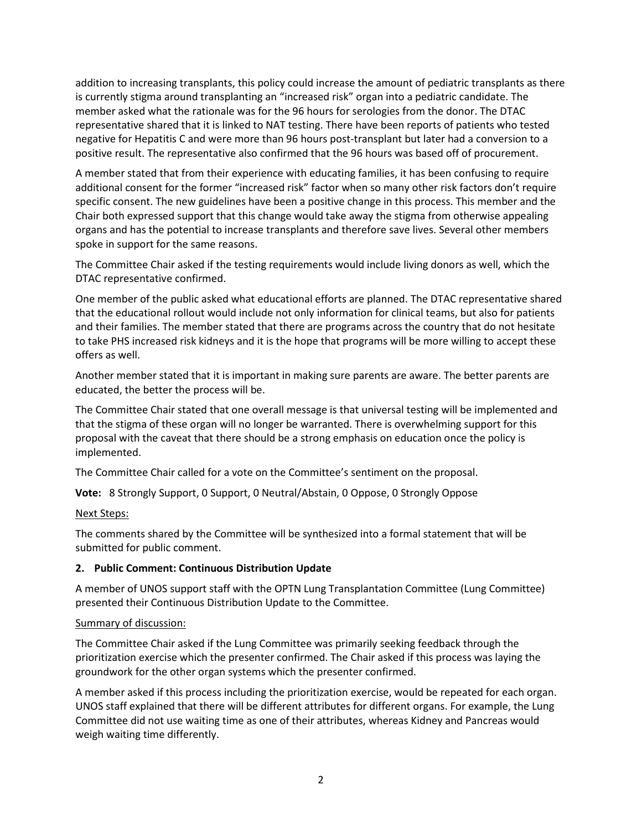addition to increasing transplants, this policy could increase the amount of pediatric transplants as there is currently stigma around transplanting an "increased risk" organ into a pediatric candidate. The member asked what the rationale was for the 96 hours for serologies from the donor. The DTAC representative shared that it is linked to NAT testing. There have been reports of patients who tested negative for Hepatitis C and were more than 96 hours post-transplant but later had a conversion to a positive result. The representative also confirmed that the 96 hours was based off of procurement.

A member stated that from their experience with educating families, it has been confusing to require additional consent for the former "increased risk" factor when so many other risk factors don't require specific consent. The new guidelines have been a positive change in this process. This member and the Chair both expressed support that this change would take away the stigma from otherwise appealing organs and has the potential to increase transplants and therefore save lives. Several other members spoke in support for the same reasons.

The Committee Chair asked if the testing requirements would include living donors as well, which the DTAC representative confirmed.

One member of the public asked what educational efforts are planned. The DTAC representative shared that the educational rollout would include not only information for clinical teams, but also for patients and their families. The member stated that there are programs across the country that do not hesitate to take PHS increased risk kidneys and it is the hope that programs will be more willing to accept these offers as well.

Another member stated that it is important in making sure parents are aware. The better parents are educated, the better the process will be.

The Committee Chair stated that one overall message is that universal testing will be implemented and that the stigma of these organ will no longer be warranted. There is overwhelming support for this proposal with the caveat that there should be a strong emphasis on education once the policy is implemented.

The Committee Chair called for a vote on the Committee's sentiment on the proposal.

**Vote:** 8 Strongly Support, 0 Support, 0 Neutral/Abstain, 0 Oppose, 0 Strongly Oppose

## Next Steps:

The comments shared by the Committee will be synthesized into a formal statement that will be submitted for public comment.

## **2. Public Comment: Continuous Distribution Update**

A member of UNOS support staff with the OPTN Lung Transplantation Committee (Lung Committee) presented their Continuous Distribution Update to the Committee.

## Summary of discussion:

The Committee Chair asked if the Lung Committee was primarily seeking feedback through the prioritization exercise which the presenter confirmed. The Chair asked if this process was laying the groundwork for the other organ systems which the presenter confirmed.

A member asked if this process including the prioritization exercise, would be repeated for each organ. UNOS staff explained that there will be different attributes for different organs. For example, the Lung Committee did not use waiting time as one of their attributes, whereas Kidney and Pancreas would weigh waiting time differently.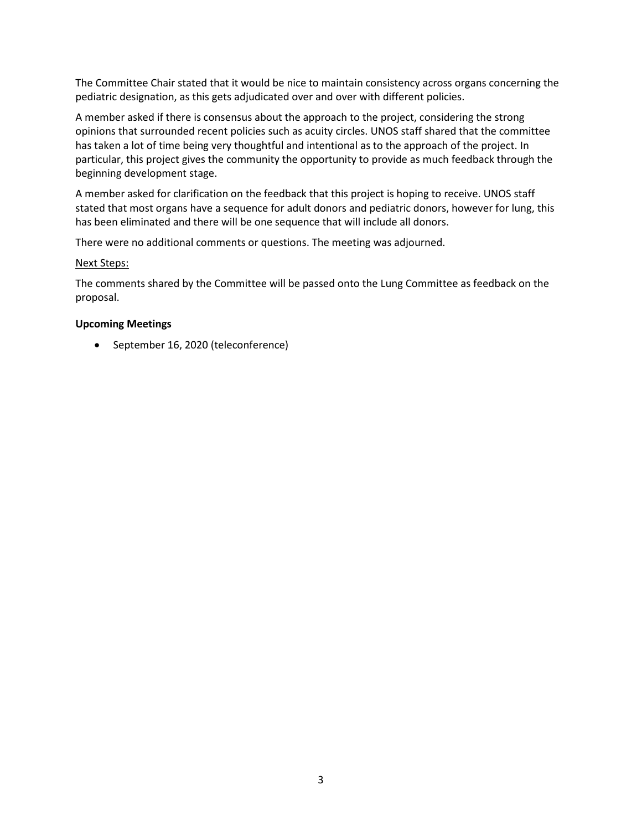The Committee Chair stated that it would be nice to maintain consistency across organs concerning the pediatric designation, as this gets adjudicated over and over with different policies.

A member asked if there is consensus about the approach to the project, considering the strong opinions that surrounded recent policies such as acuity circles. UNOS staff shared that the committee has taken a lot of time being very thoughtful and intentional as to the approach of the project. In particular, this project gives the community the opportunity to provide as much feedback through the beginning development stage.

A member asked for clarification on the feedback that this project is hoping to receive. UNOS staff stated that most organs have a sequence for adult donors and pediatric donors, however for lung, this has been eliminated and there will be one sequence that will include all donors.

There were no additional comments or questions. The meeting was adjourned.

## Next Steps:

The comments shared by the Committee will be passed onto the Lung Committee as feedback on the proposal.

## **Upcoming Meetings**

• September 16, 2020 (teleconference)